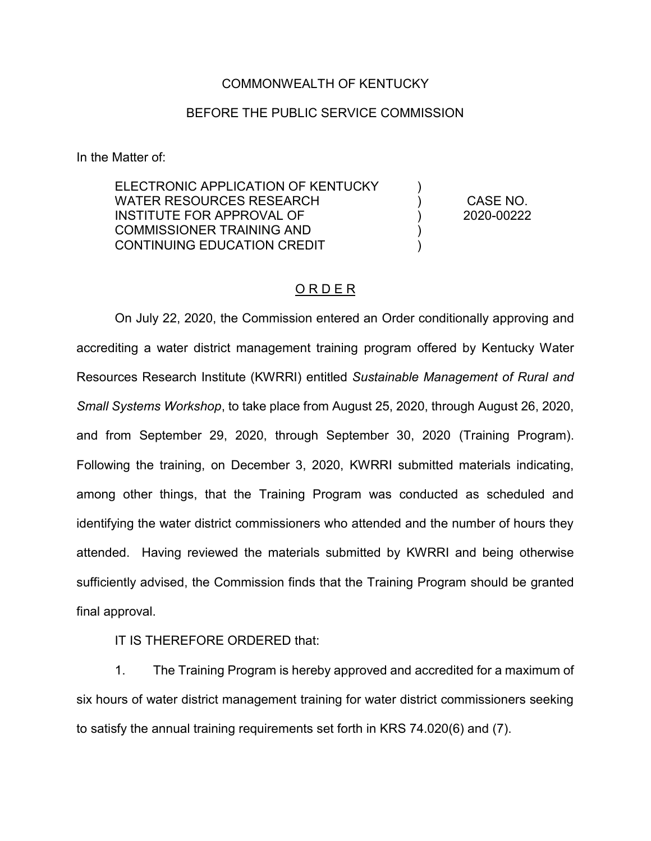## COMMONWEALTH OF KENTUCKY

## BEFORE THE PUBLIC SERVICE COMMISSION

In the Matter of:

ELECTRONIC APPLICATION OF KENTUCKY WATER RESOURCES RESEARCH INSTITUTE FOR APPROVAL OF COMMISSIONER TRAINING AND CONTINUING EDUCATION CREDIT )  $\lambda$ ) )  $\lambda$ CASE NO. 2020-00222

## O R D E R

On July 22, 2020, the Commission entered an Order conditionally approving and accrediting a water district management training program offered by Kentucky Water Resources Research Institute (KWRRI) entitled *Sustainable Management of Rural and Small Systems Workshop*, to take place from August 25, 2020, through August 26, 2020, and from September 29, 2020, through September 30, 2020 (Training Program). Following the training, on December 3, 2020, KWRRI submitted materials indicating, among other things, that the Training Program was conducted as scheduled and identifying the water district commissioners who attended and the number of hours they attended. Having reviewed the materials submitted by KWRRI and being otherwise sufficiently advised, the Commission finds that the Training Program should be granted final approval.

IT IS THEREFORE ORDERED that:

1. The Training Program is hereby approved and accredited for a maximum of six hours of water district management training for water district commissioners seeking to satisfy the annual training requirements set forth in KRS 74.020(6) and (7).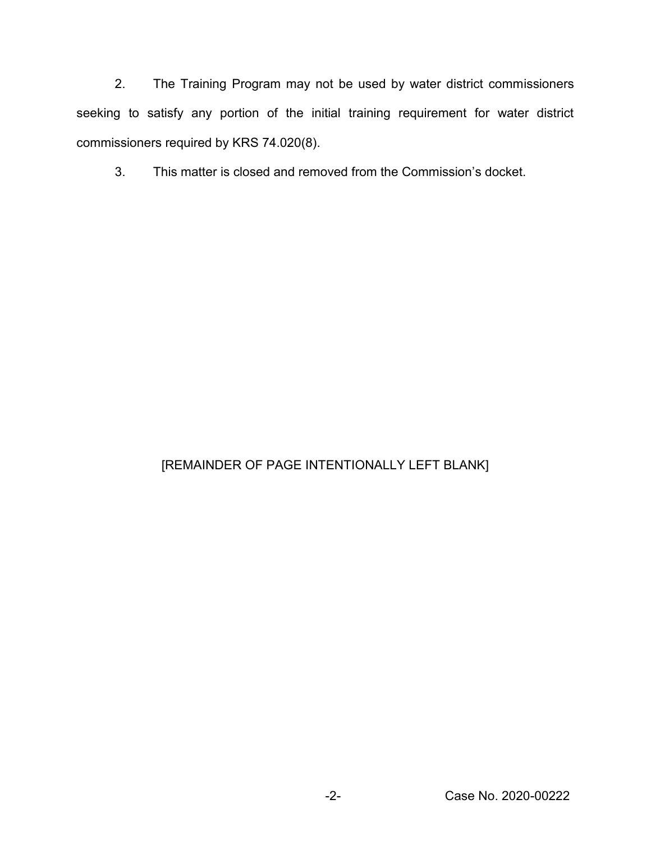2. The Training Program may not be used by water district commissioners seeking to satisfy any portion of the initial training requirement for water district commissioners required by KRS 74.020(8).

3. This matter is closed and removed from the Commission's docket.

## [REMAINDER OF PAGE INTENTIONALLY LEFT BLANK]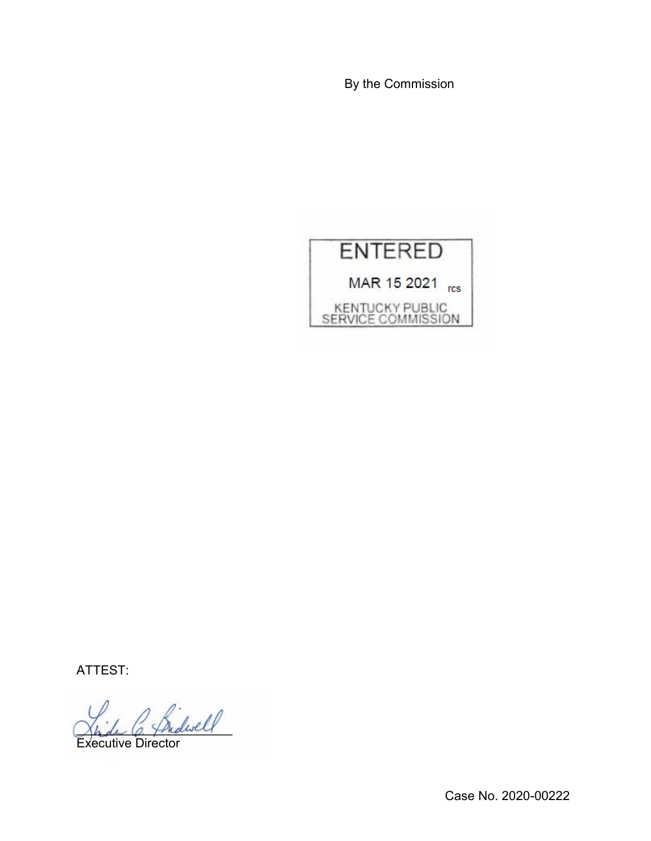By the Commission



ATTEST:

\_\_\_\_\_\_\_\_\_\_\_\_\_\_\_\_\_\_\_\_\_\_

Executive Director

Case No. 2020-00222